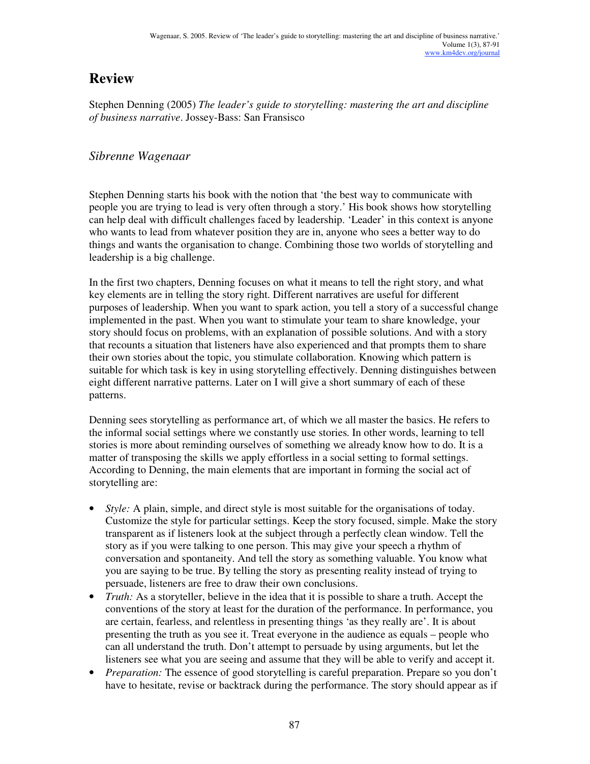# **Review**

Stephen Denning (2005) *The leader's guide to storytelling: mastering the art and discipline of business narrative*. Jossey-Bass: San Fransisco

# *Sibrenne Wagenaar*

Stephen Denning starts his book with the notion that 'the best way to communicate with people you are trying to lead is very often through a story.' His book shows how storytelling can help deal with difficult challenges faced by leadership. 'Leader' in this context is anyone who wants to lead from whatever position they are in, anyone who sees a better way to do things and wants the organisation to change. Combining those two worlds of storytelling and leadership is a big challenge.

In the first two chapters, Denning focuses on what it means to tell the right story, and what key elements are in telling the story right. Different narratives are useful for different purposes of leadership. When you want to spark action, you tell a story of a successful change implemented in the past. When you want to stimulate your team to share knowledge, your story should focus on problems, with an explanation of possible solutions. And with a story that recounts a situation that listeners have also experienced and that prompts them to share their own stories about the topic, you stimulate collaboration. Knowing which pattern is suitable for which task is key in using storytelling effectively. Denning distinguishes between eight different narrative patterns. Later on I will give a short summary of each of these patterns.

Denning sees storytelling as performance art, of which we all master the basics. He refers to the informal social settings where we constantly use stories. In other words, learning to tell stories is more about reminding ourselves of something we already know how to do. It is a matter of transposing the skills we apply effortless in a social setting to formal settings. According to Denning, the main elements that are important in forming the social act of storytelling are:

- *Style:* A plain, simple, and direct style is most suitable for the organisations of today. Customize the style for particular settings. Keep the story focused, simple. Make the story transparent as if listeners look at the subject through a perfectly clean window. Tell the story as if you were talking to one person. This may give your speech a rhythm of conversation and spontaneity. And tell the story as something valuable. You know what you are saying to be true. By telling the story as presenting reality instead of trying to persuade, listeners are free to draw their own conclusions.
- *Truth:* As a storyteller, believe in the idea that it is possible to share a truth. Accept the conventions of the story at least for the duration of the performance. In performance, you are certain, fearless, and relentless in presenting things 'as they really are'. It is about presenting the truth as you see it. Treat everyone in the audience as equals – people who can all understand the truth. Don't attempt to persuade by using arguments, but let the listeners see what you are seeing and assume that they will be able to verify and accept it.
- *Preparation:* The essence of good storytelling is careful preparation. Prepare so you don't have to hesitate, revise or backtrack during the performance. The story should appear as if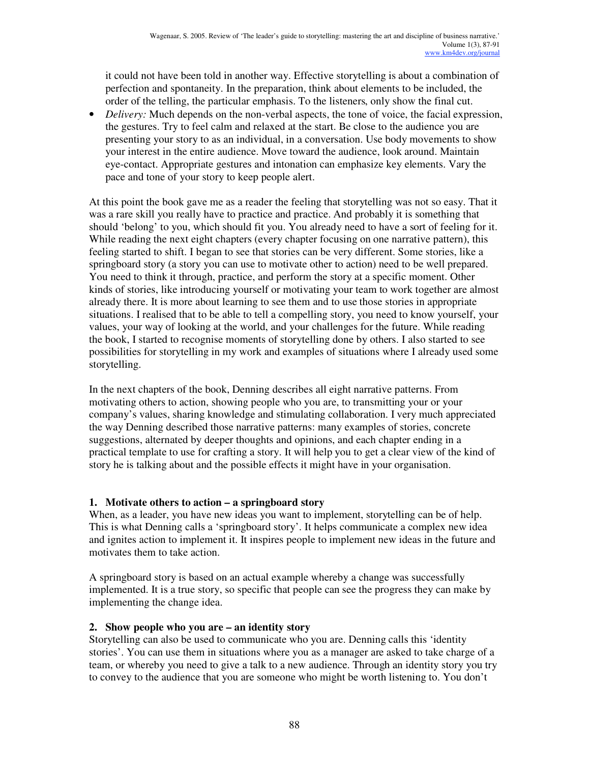it could not have been told in another way. Effective storytelling is about a combination of perfection and spontaneity. In the preparation, think about elements to be included, the order of the telling, the particular emphasis. To the listeners, only show the final cut.

• *Delivery:* Much depends on the non-verbal aspects, the tone of voice, the facial expression, the gestures. Try to feel calm and relaxed at the start. Be close to the audience you are presenting your story to as an individual, in a conversation. Use body movements to show your interest in the entire audience. Move toward the audience, look around. Maintain eye-contact. Appropriate gestures and intonation can emphasize key elements. Vary the pace and tone of your story to keep people alert.

At this point the book gave me as a reader the feeling that storytelling was not so easy. That it was a rare skill you really have to practice and practice. And probably it is something that should 'belong' to you, which should fit you. You already need to have a sort of feeling for it. While reading the next eight chapters (every chapter focusing on one narrative pattern), this feeling started to shift. I began to see that stories can be very different. Some stories, like a springboard story (a story you can use to motivate other to action) need to be well prepared. You need to think it through, practice, and perform the story at a specific moment. Other kinds of stories, like introducing yourself or motivating your team to work together are almost already there. It is more about learning to see them and to use those stories in appropriate situations. I realised that to be able to tell a compelling story, you need to know yourself, your values, your way of looking at the world, and your challenges for the future. While reading the book, I started to recognise moments of storytelling done by others. I also started to see possibilities for storytelling in my work and examples of situations where I already used some storytelling.

In the next chapters of the book, Denning describes all eight narrative patterns. From motivating others to action, showing people who you are, to transmitting your or your company's values, sharing knowledge and stimulating collaboration. I very much appreciated the way Denning described those narrative patterns: many examples of stories, concrete suggestions, alternated by deeper thoughts and opinions, and each chapter ending in a practical template to use for crafting a story. It will help you to get a clear view of the kind of story he is talking about and the possible effects it might have in your organisation.

### **1. Motivate others to action – a springboard story**

When, as a leader, you have new ideas you want to implement, storytelling can be of help. This is what Denning calls a 'springboard story'. It helps communicate a complex new idea and ignites action to implement it. It inspires people to implement new ideas in the future and motivates them to take action.

A springboard story is based on an actual example whereby a change was successfully implemented. It is a true story, so specific that people can see the progress they can make by implementing the change idea.

### **2. Show people who you are – an identity story**

Storytelling can also be used to communicate who you are. Denning calls this 'identity stories'. You can use them in situations where you as a manager are asked to take charge of a team, or whereby you need to give a talk to a new audience. Through an identity story you try to convey to the audience that you are someone who might be worth listening to. You don't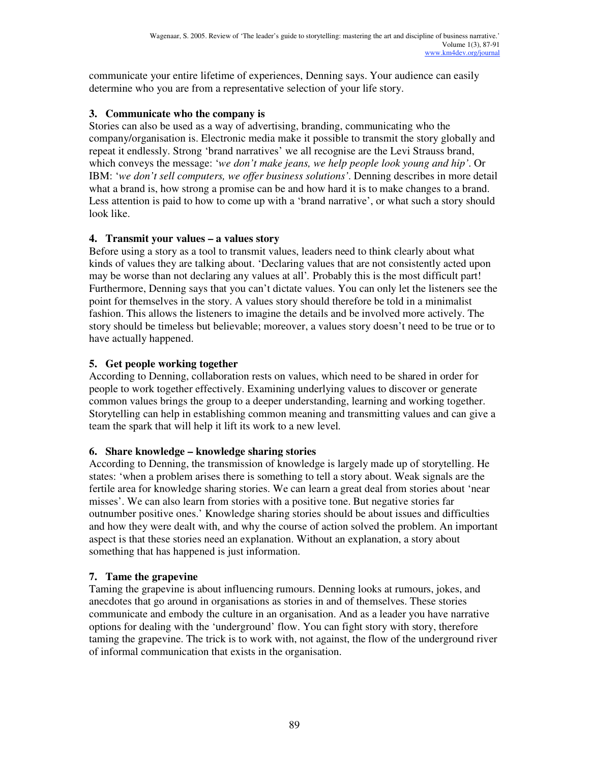communicate your entire lifetime of experiences, Denning says. Your audience can easily determine who you are from a representative selection of your life story.

### **3. Communicate who the company is**

Stories can also be used as a way of advertising, branding, communicating who the company/organisation is. Electronic media make it possible to transmit the story globally and repeat it endlessly. Strong 'brand narratives' we all recognise are the Levi Strauss brand, which conveys the message: '*we don't make jeans, we help people look young and hip'*. Or IBM: '*we don't sell computers, we offer business solutions'*. Denning describes in more detail what a brand is, how strong a promise can be and how hard it is to make changes to a brand. Less attention is paid to how to come up with a 'brand narrative', or what such a story should look like.

## **4. Transmit your values – a values story**

Before using a story as a tool to transmit values, leaders need to think clearly about what kinds of values they are talking about. 'Declaring values that are not consistently acted upon may be worse than not declaring any values at all'*.* Probably this is the most difficult part! Furthermore, Denning says that you can't dictate values. You can only let the listeners see the point for themselves in the story. A values story should therefore be told in a minimalist fashion. This allows the listeners to imagine the details and be involved more actively. The story should be timeless but believable; moreover, a values story doesn't need to be true or to have actually happened.

# **5. Get people working together**

According to Denning, collaboration rests on values, which need to be shared in order for people to work together effectively. Examining underlying values to discover or generate common values brings the group to a deeper understanding, learning and working together. Storytelling can help in establishing common meaning and transmitting values and can give a team the spark that will help it lift its work to a new level.

# **6. Share knowledge – knowledge sharing stories**

According to Denning, the transmission of knowledge is largely made up of storytelling. He states: 'when a problem arises there is something to tell a story about. Weak signals are the fertile area for knowledge sharing stories. We can learn a great deal from stories about 'near misses'. We can also learn from stories with a positive tone. But negative stories far outnumber positive ones.' Knowledge sharing stories should be about issues and difficulties and how they were dealt with, and why the course of action solved the problem. An important aspect is that these stories need an explanation. Without an explanation, a story about something that has happened is just information.

# **7. Tame the grapevine**

Taming the grapevine is about influencing rumours. Denning looks at rumours, jokes, and anecdotes that go around in organisations as stories in and of themselves. These stories communicate and embody the culture in an organisation. And as a leader you have narrative options for dealing with the 'underground' flow. You can fight story with story, therefore taming the grapevine. The trick is to work with, not against, the flow of the underground river of informal communication that exists in the organisation.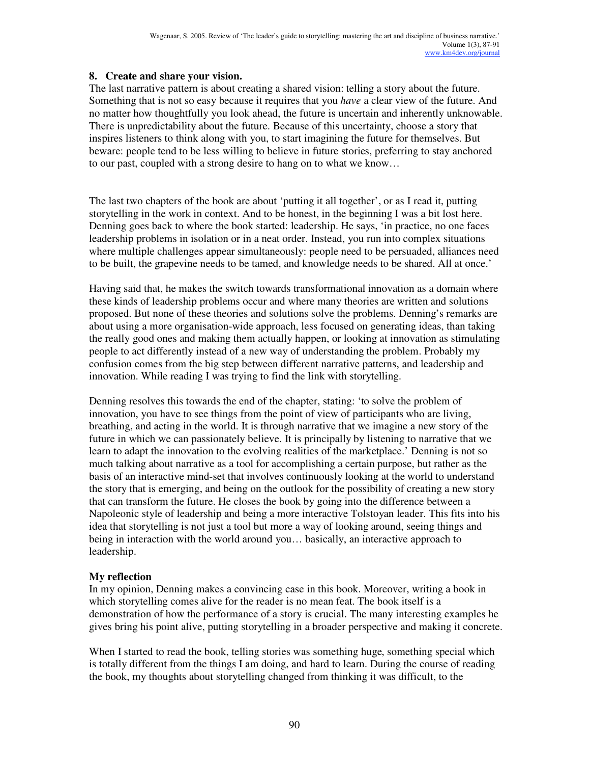#### **8. Create and share your vision.**

The last narrative pattern is about creating a shared vision: telling a story about the future. Something that is not so easy because it requires that you *have* a clear view of the future. And no matter how thoughtfully you look ahead, the future is uncertain and inherently unknowable. There is unpredictability about the future. Because of this uncertainty, choose a story that inspires listeners to think along with you, to start imagining the future for themselves. But beware: people tend to be less willing to believe in future stories, preferring to stay anchored to our past, coupled with a strong desire to hang on to what we know…

The last two chapters of the book are about 'putting it all together', or as I read it, putting storytelling in the work in context. And to be honest, in the beginning I was a bit lost here. Denning goes back to where the book started: leadership. He says, 'in practice, no one faces leadership problems in isolation or in a neat order. Instead, you run into complex situations where multiple challenges appear simultaneously: people need to be persuaded, alliances need to be built, the grapevine needs to be tamed, and knowledge needs to be shared. All at once.'

Having said that, he makes the switch towards transformational innovation as a domain where these kinds of leadership problems occur and where many theories are written and solutions proposed. But none of these theories and solutions solve the problems. Denning's remarks are about using a more organisation-wide approach, less focused on generating ideas, than taking the really good ones and making them actually happen, or looking at innovation as stimulating people to act differently instead of a new way of understanding the problem. Probably my confusion comes from the big step between different narrative patterns, and leadership and innovation. While reading I was trying to find the link with storytelling.

Denning resolves this towards the end of the chapter, stating: 'to solve the problem of innovation, you have to see things from the point of view of participants who are living, breathing, and acting in the world. It is through narrative that we imagine a new story of the future in which we can passionately believe. It is principally by listening to narrative that we learn to adapt the innovation to the evolving realities of the marketplace.' Denning is not so much talking about narrative as a tool for accomplishing a certain purpose, but rather as the basis of an interactive mind-set that involves continuously looking at the world to understand the story that is emerging, and being on the outlook for the possibility of creating a new story that can transform the future. He closes the book by going into the difference between a Napoleonic style of leadership and being a more interactive Tolstoyan leader. This fits into his idea that storytelling is not just a tool but more a way of looking around, seeing things and being in interaction with the world around you… basically, an interactive approach to leadership.

#### **My reflection**

In my opinion, Denning makes a convincing case in this book. Moreover, writing a book in which storytelling comes alive for the reader is no mean feat. The book itself is a demonstration of how the performance of a story is crucial. The many interesting examples he gives bring his point alive, putting storytelling in a broader perspective and making it concrete.

When I started to read the book, telling stories was something huge, something special which is totally different from the things I am doing, and hard to learn. During the course of reading the book, my thoughts about storytelling changed from thinking it was difficult, to the